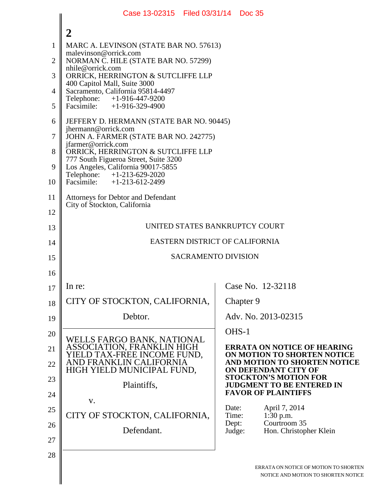|                | Case 13-02315 Filed 03/31/14 Doc 35                                         |                                                                |  |  |
|----------------|-----------------------------------------------------------------------------|----------------------------------------------------------------|--|--|
|                | $\boldsymbol{2}$                                                            |                                                                |  |  |
| $\mathbf{1}$   | MARC A. LEVINSON (STATE BAR NO. 57613)                                      |                                                                |  |  |
| $\overline{2}$ | malevinson@orrick.com<br>NORMAN C. HILE (STATE BAR NO. 57299)               |                                                                |  |  |
| 3              | nhile@orrick.com<br>ORRICK, HERRINGTON & SUTCLIFFE LLP                      |                                                                |  |  |
| $\overline{4}$ | 400 Capitol Mall, Suite 3000<br>Sacramento, California 95814-4497           |                                                                |  |  |
| 5              | $+1-916-447-9200$<br>Telephone:<br>Facsimile: $+1-916-329-4900$             |                                                                |  |  |
| 6              | JEFFERY D. HERMANN (STATE BAR NO. 90445)                                    |                                                                |  |  |
| 7              | jhermann@orrick.com<br>JOHN A. FARMER (STATE BAR NO. 242775)                |                                                                |  |  |
| 8              | jfarmer@orrick.com<br>ORRICK, HERRINGTON & SUTCLIFFE LLP                    |                                                                |  |  |
| 9              | 777 South Figueroa Street, Suite 3200<br>Los Angeles, California 90017-5855 |                                                                |  |  |
| 10             | Telephone: +1-213-629-2020<br>$+1-213-612-2499$<br>Facsimile:               |                                                                |  |  |
| 11             | <b>Attorneys for Debtor and Defendant</b>                                   |                                                                |  |  |
| 12             | City of Stockton, California                                                |                                                                |  |  |
| 13             | UNITED STATES BANKRUPTCY COURT                                              |                                                                |  |  |
| 14             | EASTERN DISTRICT OF CALIFORNIA                                              |                                                                |  |  |
| 15             | <b>SACRAMENTO DIVISION</b>                                                  |                                                                |  |  |
| 16             |                                                                             |                                                                |  |  |
| 17             | In re:                                                                      | Case No. 12-32118                                              |  |  |
| 18             | CITY OF STOCKTON, CALIFORNIA,                                               | Chapter 9                                                      |  |  |
| 19             | Debtor.                                                                     | Adv. No. 2013-02315                                            |  |  |
| 20             |                                                                             | OHS-1                                                          |  |  |
| 21             | WELLS FARGO BANK, NATIONAL<br>ASSOCIATION, FRANKLIN HIGH                    | <b>ERRATA ON NOTICE OF HEARING</b>                             |  |  |
| 22             | YIELD TAX-FREE INCOME FUND,<br>AND FRANKLIN CALIFORNIA                      | ON MOTION TO SHORTEN NOTICE<br>AND MOTION TO SHORTEN NOTICE    |  |  |
| 23             | HIGH YIELD MUNICIPAL FUND,                                                  | ON DEFENDANT CITY OF<br><b>STOCKTON'S MOTION FOR</b>           |  |  |
|                | Plaintiffs,                                                                 | <b>JUDGMENT TO BE ENTERED IN</b><br><b>FAVOR OF PLAINTIFFS</b> |  |  |
| 24             | V.                                                                          | Date:<br>April 7, 2014                                         |  |  |
| 25             | CITY OF STOCKTON, CALIFORNIA,                                               | 1:30 p.m.<br>Time:<br>Courtroom 35<br>Dept:                    |  |  |
| 26             | Defendant.                                                                  | Hon. Christopher Klein<br>Judge:                               |  |  |
| 27             |                                                                             |                                                                |  |  |
| 28             |                                                                             | ERRATA ON NOTICE OF MOTION TO SHORTEN                          |  |  |
|                |                                                                             | NOTICE AND MOTION TO SHORTEN NOTICE                            |  |  |